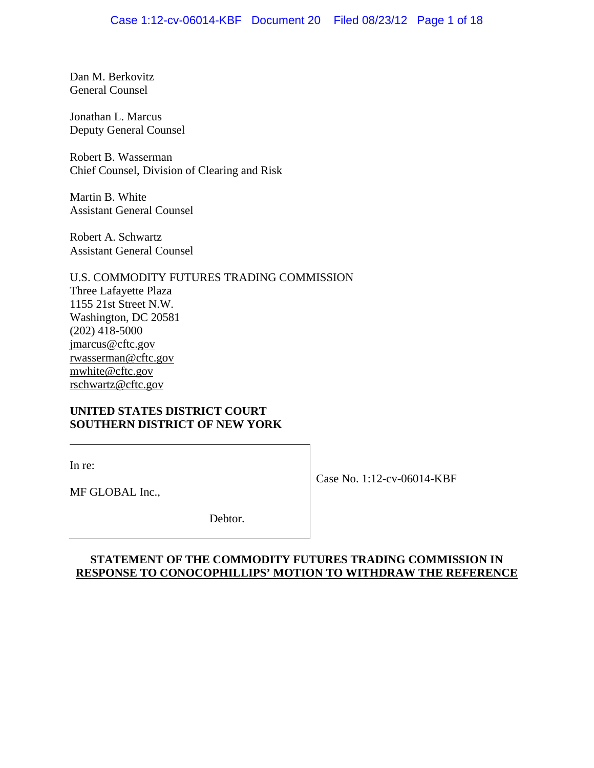Dan M. Berkovitz General Counsel

Jonathan L. Marcus Deputy General Counsel

Robert B. Wasserman Chief Counsel, Division of Clearing and Risk

Martin B. White Assistant General Counsel

Robert A. Schwartz Assistant General Counsel

U.S. COMMODITY FUTURES TRADING COMMISSION Three Lafayette Plaza 1155 21st Street N.W. Washington, DC 20581 (202) 418-5000 jmarcus@cftc.gov rwasserman@cftc.gov mwhite@cftc.gov rschwartz@cftc.gov

# **UNITED STATES DISTRICT COURT SOUTHERN DISTRICT OF NEW YORK**

In re:

Case No. 1:12-cv-06014-KBF

MF GLOBAL Inc.,

Debtor.

# **STATEMENT OF THE COMMODITY FUTURES TRADING COMMISSION IN RESPONSE TO CONOCOPHILLIPS' MOTION TO WITHDRAW THE REFERENCE**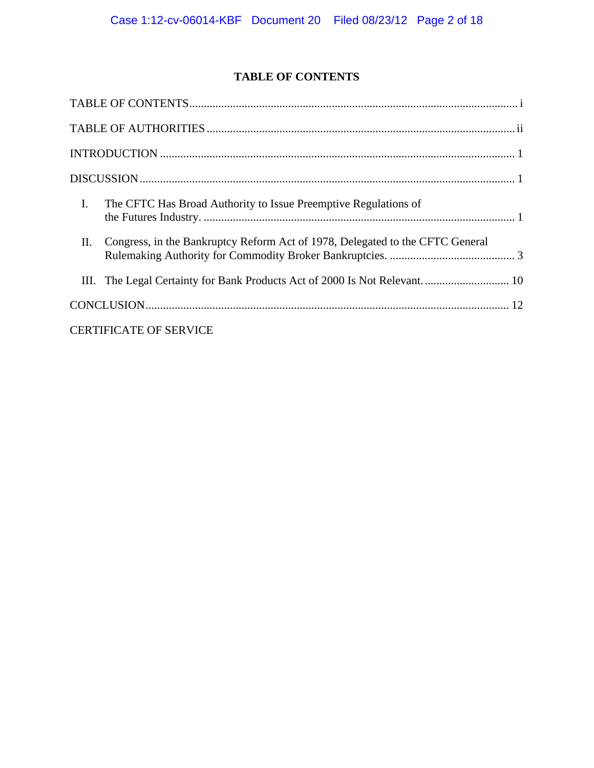# **TABLE OF CONTENTS**

| $\mathbf{I}$ .<br>The CFTC Has Broad Authority to Issue Preemptive Regulations of   |
|-------------------------------------------------------------------------------------|
| Congress, in the Bankruptcy Reform Act of 1978, Delegated to the CFTC General<br>П. |
| III. The Legal Certainty for Bank Products Act of 2000 Is Not Relevant 10           |
|                                                                                     |
| <b>CERTIFICATE OF SERVICE</b>                                                       |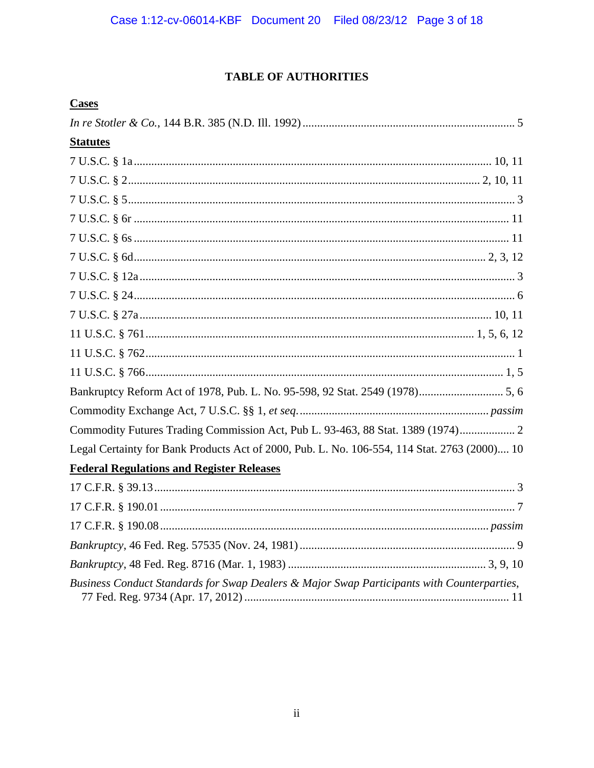# **TABLE OF AUTHORITIES**

| <b>Cases</b>                                                                                 |
|----------------------------------------------------------------------------------------------|
|                                                                                              |
| <b>Statutes</b>                                                                              |
|                                                                                              |
|                                                                                              |
|                                                                                              |
|                                                                                              |
|                                                                                              |
|                                                                                              |
|                                                                                              |
|                                                                                              |
|                                                                                              |
|                                                                                              |
|                                                                                              |
|                                                                                              |
|                                                                                              |
|                                                                                              |
| Commodity Futures Trading Commission Act, Pub L. 93-463, 88 Stat. 1389 (1974) 2              |
| Legal Certainty for Bank Products Act of 2000, Pub. L. No. 106-554, 114 Stat. 2763 (2000) 10 |
| <b>Federal Regulations and Register Releases</b>                                             |
|                                                                                              |
|                                                                                              |
|                                                                                              |
|                                                                                              |
|                                                                                              |
| Business Conduct Standards for Swap Dealers & Major Swap Participants with Counterparties,   |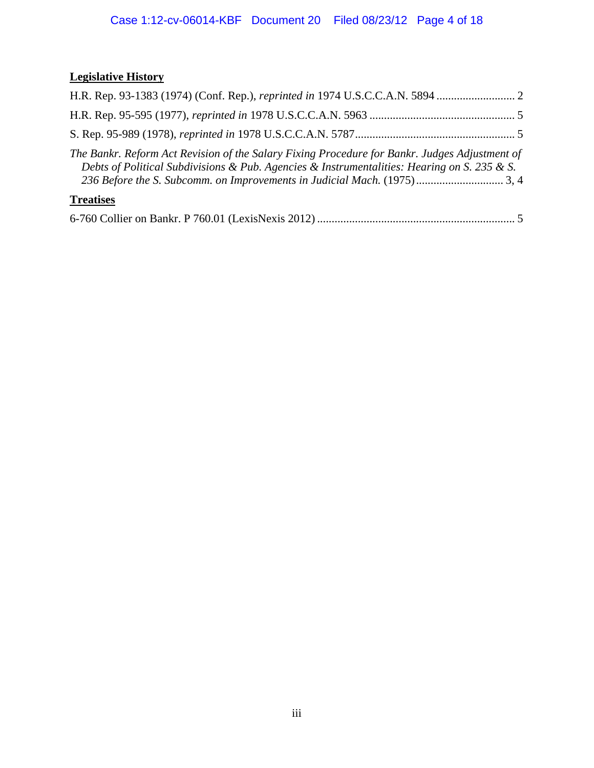# **Legislative History**

| H.R. Rep. 93-1383 (1974) (Conf. Rep.), reprinted in 1974 U.S.C.C.A.N. 5894                                                                                                                   |  |
|----------------------------------------------------------------------------------------------------------------------------------------------------------------------------------------------|--|
|                                                                                                                                                                                              |  |
|                                                                                                                                                                                              |  |
| The Bankr. Reform Act Revision of the Salary Fixing Procedure for Bankr. Judges Adjustment of<br>Debts of Political Subdivisions & Pub. Agencies & Instrumentalities: Hearing on S. 235 & S. |  |
| <b>Treatises</b>                                                                                                                                                                             |  |
|                                                                                                                                                                                              |  |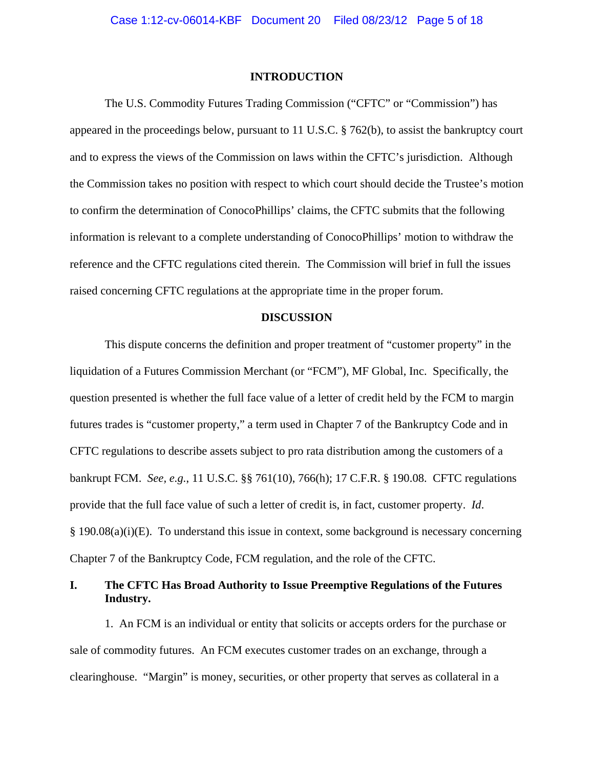#### **INTRODUCTION**

The U.S. Commodity Futures Trading Commission ("CFTC" or "Commission") has appeared in the proceedings below, pursuant to 11 U.S.C. § 762(b), to assist the bankruptcy court and to express the views of the Commission on laws within the CFTC's jurisdiction. Although the Commission takes no position with respect to which court should decide the Trustee's motion to confirm the determination of ConocoPhillips' claims, the CFTC submits that the following information is relevant to a complete understanding of ConocoPhillips' motion to withdraw the reference and the CFTC regulations cited therein. The Commission will brief in full the issues raised concerning CFTC regulations at the appropriate time in the proper forum.

#### **DISCUSSION**

This dispute concerns the definition and proper treatment of "customer property" in the liquidation of a Futures Commission Merchant (or "FCM"), MF Global, Inc. Specifically, the question presented is whether the full face value of a letter of credit held by the FCM to margin futures trades is "customer property," a term used in Chapter 7 of the Bankruptcy Code and in CFTC regulations to describe assets subject to pro rata distribution among the customers of a bankrupt FCM. *See, e.g.*, 11 U.S.C. §§ 761(10), 766(h); 17 C.F.R. § 190.08. CFTC regulations provide that the full face value of such a letter of credit is, in fact, customer property. *Id*. § 190.08(a)(i)(E). To understand this issue in context, some background is necessary concerning Chapter 7 of the Bankruptcy Code, FCM regulation, and the role of the CFTC.

# **I. The CFTC Has Broad Authority to Issue Preemptive Regulations of the Futures Industry.**

1. An FCM is an individual or entity that solicits or accepts orders for the purchase or sale of commodity futures. An FCM executes customer trades on an exchange, through a clearinghouse. "Margin" is money, securities, or other property that serves as collateral in a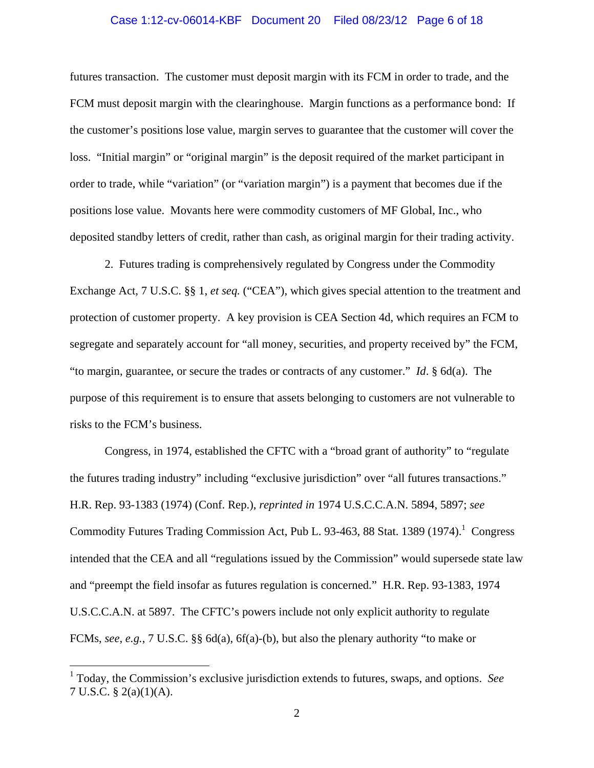#### Case 1:12-cv-06014-KBF Document 20 Filed 08/23/12 Page 6 of 18

futures transaction. The customer must deposit margin with its FCM in order to trade, and the FCM must deposit margin with the clearinghouse. Margin functions as a performance bond: If the customer's positions lose value, margin serves to guarantee that the customer will cover the loss. "Initial margin" or "original margin" is the deposit required of the market participant in order to trade, while "variation" (or "variation margin") is a payment that becomes due if the positions lose value. Movants here were commodity customers of MF Global, Inc., who deposited standby letters of credit, rather than cash, as original margin for their trading activity.

2. Futures trading is comprehensively regulated by Congress under the Commodity Exchange Act, 7 U.S.C. §§ 1, *et seq.* ("CEA"), which gives special attention to the treatment and protection of customer property. A key provision is CEA Section 4d, which requires an FCM to segregate and separately account for "all money, securities, and property received by" the FCM, "to margin, guarantee, or secure the trades or contracts of any customer." *Id*. § 6d(a). The purpose of this requirement is to ensure that assets belonging to customers are not vulnerable to risks to the FCM's business.

Congress, in 1974, established the CFTC with a "broad grant of authority" to "regulate the futures trading industry" including "exclusive jurisdiction" over "all futures transactions." H.R. Rep. 93-1383 (1974) (Conf. Rep.), *reprinted in* 1974 U.S.C.C.A.N. 5894, 5897; *see*  Commodity Futures Trading Commission Act, Pub L. 93-463, 88 Stat. 1389 (1974).<sup>1</sup> Congress intended that the CEA and all "regulations issued by the Commission" would supersede state law and "preempt the field insofar as futures regulation is concerned." H.R. Rep. 93-1383, 1974 U.S.C.C.A.N. at 5897. The CFTC's powers include not only explicit authority to regulate FCMs, *see, e.g.*, 7 U.S.C. §§ 6d(a), 6f(a)-(b), but also the plenary authority "to make or

 $\overline{a}$ 

<sup>1</sup> Today, the Commission's exclusive jurisdiction extends to futures, swaps, and options. *See* 7 U.S.C. § 2(a)(1)(A).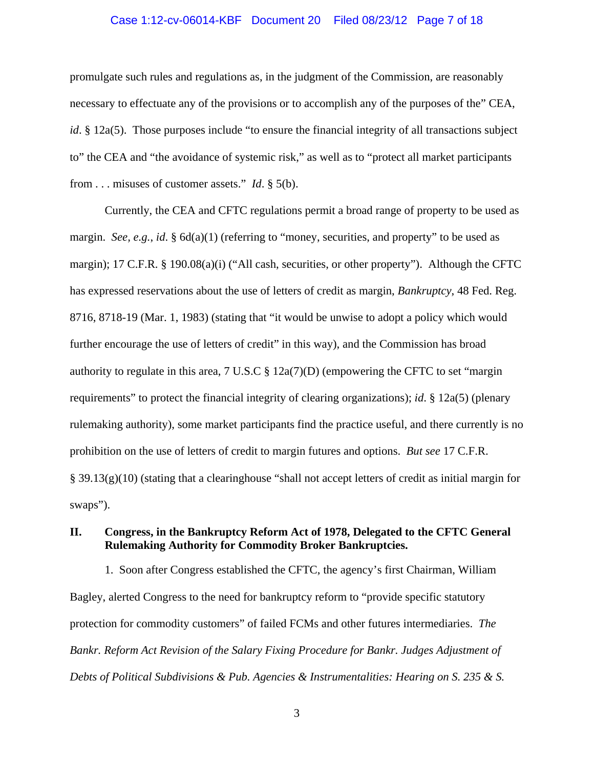#### Case 1:12-cv-06014-KBF Document 20 Filed 08/23/12 Page 7 of 18

promulgate such rules and regulations as, in the judgment of the Commission, are reasonably necessary to effectuate any of the provisions or to accomplish any of the purposes of the" CEA, *id*. § 12a(5). Those purposes include "to ensure the financial integrity of all transactions subject to" the CEA and "the avoidance of systemic risk," as well as to "protect all market participants from . . . misuses of customer assets." *Id*. § 5(b).

Currently, the CEA and CFTC regulations permit a broad range of property to be used as margin. *See, e.g., id.* § 6d(a)(1) (referring to "money, securities, and property" to be used as margin); 17 C.F.R. § 190.08(a)(i) ("All cash, securities, or other property"). Although the CFTC has expressed reservations about the use of letters of credit as margin, *Bankruptcy*, 48 Fed. Reg. 8716, 8718-19 (Mar. 1, 1983) (stating that "it would be unwise to adopt a policy which would further encourage the use of letters of credit" in this way), and the Commission has broad authority to regulate in this area,  $7 \text{ U.S.C} \text{ § } 12a(7)(D)$  (empowering the CFTC to set "margin") requirements" to protect the financial integrity of clearing organizations); *id*. § 12a(5) (plenary rulemaking authority), some market participants find the practice useful, and there currently is no prohibition on the use of letters of credit to margin futures and options. *But see* 17 C.F.R. § 39.13(g)(10) (stating that a clearinghouse "shall not accept letters of credit as initial margin for swaps").

# **II. Congress, in the Bankruptcy Reform Act of 1978, Delegated to the CFTC General Rulemaking Authority for Commodity Broker Bankruptcies.**

1. Soon after Congress established the CFTC, the agency's first Chairman, William Bagley, alerted Congress to the need for bankruptcy reform to "provide specific statutory protection for commodity customers" of failed FCMs and other futures intermediaries. *The Bankr. Reform Act Revision of the Salary Fixing Procedure for Bankr. Judges Adjustment of Debts of Political Subdivisions & Pub. Agencies & Instrumentalities: Hearing on S. 235 & S.*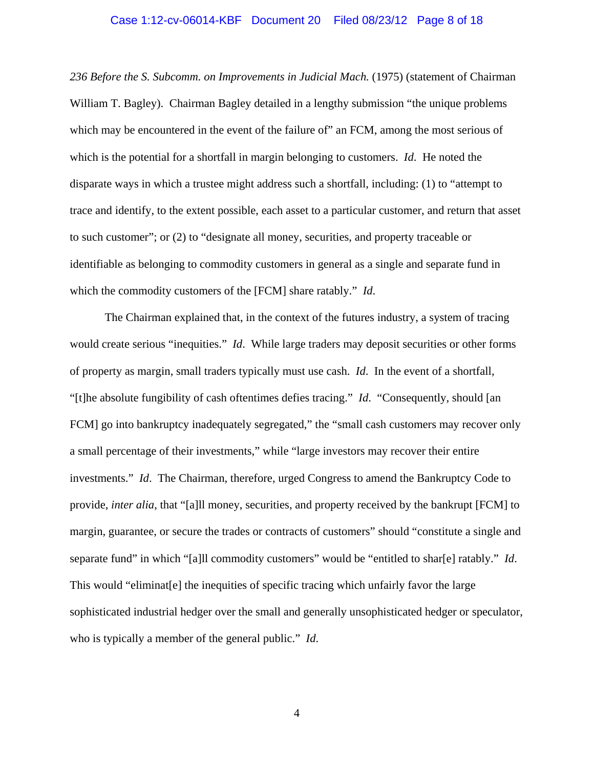#### Case 1:12-cv-06014-KBF Document 20 Filed 08/23/12 Page 8 of 18

*236 Before the S. Subcomm. on Improvements in Judicial Mach.* (1975) (statement of Chairman William T. Bagley). Chairman Bagley detailed in a lengthy submission "the unique problems which may be encountered in the event of the failure of" an FCM, among the most serious of which is the potential for a shortfall in margin belonging to customers. *Id*. He noted the disparate ways in which a trustee might address such a shortfall, including: (1) to "attempt to trace and identify, to the extent possible, each asset to a particular customer, and return that asset to such customer"; or (2) to "designate all money, securities, and property traceable or identifiable as belonging to commodity customers in general as a single and separate fund in which the commodity customers of the [FCM] share ratably." *Id*.

The Chairman explained that, in the context of the futures industry, a system of tracing would create serious "inequities." *Id*. While large traders may deposit securities or other forms of property as margin, small traders typically must use cash. *Id*. In the event of a shortfall, "[t]he absolute fungibility of cash oftentimes defies tracing." *Id*. "Consequently, should [an FCM] go into bankruptcy inadequately segregated," the "small cash customers may recover only a small percentage of their investments," while "large investors may recover their entire investments." *Id*. The Chairman, therefore, urged Congress to amend the Bankruptcy Code to provide, *inter alia*, that "[a]ll money, securities, and property received by the bankrupt [FCM] to margin, guarantee, or secure the trades or contracts of customers" should "constitute a single and separate fund" in which "[a]ll commodity customers" would be "entitled to shar[e] ratably." *Id*. This would "eliminat[e] the inequities of specific tracing which unfairly favor the large sophisticated industrial hedger over the small and generally unsophisticated hedger or speculator, who is typically a member of the general public." *Id*.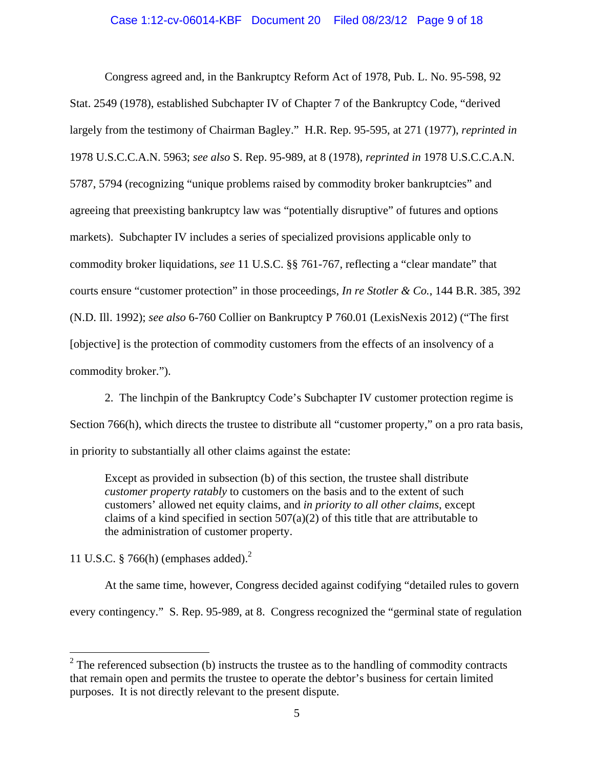# Case 1:12-cv-06014-KBF Document 20 Filed 08/23/12 Page 9 of 18

Congress agreed and, in the Bankruptcy Reform Act of 1978, Pub. L. No. 95-598, 92 Stat. 2549 (1978), established Subchapter IV of Chapter 7 of the Bankruptcy Code, "derived largely from the testimony of Chairman Bagley." H.R. Rep. 95-595, at 271 (1977), *reprinted in* 1978 U.S.C.C.A.N. 5963; *see also* S. Rep. 95-989, at 8 (1978), *reprinted in* 1978 U.S.C.C.A.N. 5787, 5794 (recognizing "unique problems raised by commodity broker bankruptcies" and agreeing that preexisting bankruptcy law was "potentially disruptive" of futures and options markets). Subchapter IV includes a series of specialized provisions applicable only to commodity broker liquidations, *see* 11 U.S.C. §§ 761-767, reflecting a "clear mandate" that courts ensure "customer protection" in those proceedings, *In re Stotler & Co.*, 144 B.R. 385, 392 (N.D. Ill. 1992); *see also* 6-760 Collier on Bankruptcy P 760.01 (LexisNexis 2012) ("The first [objective] is the protection of commodity customers from the effects of an insolvency of a commodity broker.").

2. The linchpin of the Bankruptcy Code's Subchapter IV customer protection regime is Section 766(h), which directs the trustee to distribute all "customer property," on a pro rata basis, in priority to substantially all other claims against the estate:

Except as provided in subsection (b) of this section, the trustee shall distribute *customer property ratably* to customers on the basis and to the extent of such customers' allowed net equity claims, and *in priority to all other claims*, except claims of a kind specified in section  $507(a)(2)$  of this title that are attributable to the administration of customer property.

11 U.S.C. § 766(h) (emphases added).2

 $\overline{a}$ 

At the same time, however, Congress decided against codifying "detailed rules to govern every contingency." S. Rep. 95-989, at 8. Congress recognized the "germinal state of regulation

 $2^2$  The referenced subsection (b) instructs the trustee as to the handling of commodity contracts that remain open and permits the trustee to operate the debtor's business for certain limited purposes. It is not directly relevant to the present dispute.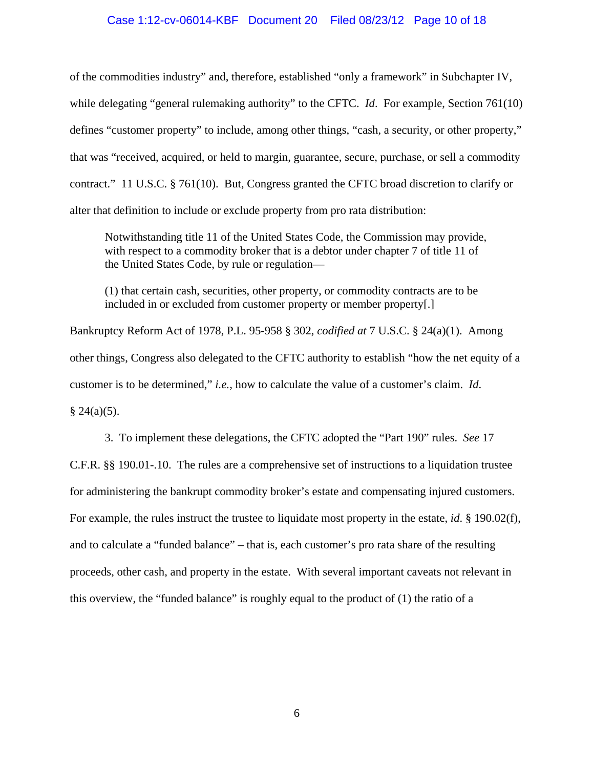### Case 1:12-cv-06014-KBF Document 20 Filed 08/23/12 Page 10 of 18

of the commodities industry" and, therefore, established "only a framework" in Subchapter IV, while delegating "general rulemaking authority" to the CFTC. *Id.* For example, Section 761(10) defines "customer property" to include, among other things, "cash, a security, or other property," that was "received, acquired, or held to margin, guarantee, secure, purchase, or sell a commodity contract." 11 U.S.C. § 761(10). But, Congress granted the CFTC broad discretion to clarify or alter that definition to include or exclude property from pro rata distribution:

Notwithstanding title 11 of the United States Code, the Commission may provide, with respect to a commodity broker that is a debtor under chapter 7 of title 11 of the United States Code, by rule or regulation—

(1) that certain cash, securities, other property, or commodity contracts are to be included in or excluded from customer property or member property[.]

Bankruptcy Reform Act of 1978, P.L. 95-958 § 302, *codified at* 7 U.S.C. § 24(a)(1). Among other things, Congress also delegated to the CFTC authority to establish "how the net equity of a customer is to be determined," *i.e.*, how to calculate the value of a customer's claim. *Id*.

 $§ 24(a)(5).$ 

3. To implement these delegations, the CFTC adopted the "Part 190" rules. *See* 17 C.F.R. §§ 190.01-.10. The rules are a comprehensive set of instructions to a liquidation trustee for administering the bankrupt commodity broker's estate and compensating injured customers. For example, the rules instruct the trustee to liquidate most property in the estate, *id*. § 190.02(f), and to calculate a "funded balance" – that is, each customer's pro rata share of the resulting proceeds, other cash, and property in the estate. With several important caveats not relevant in this overview, the "funded balance" is roughly equal to the product of (1) the ratio of a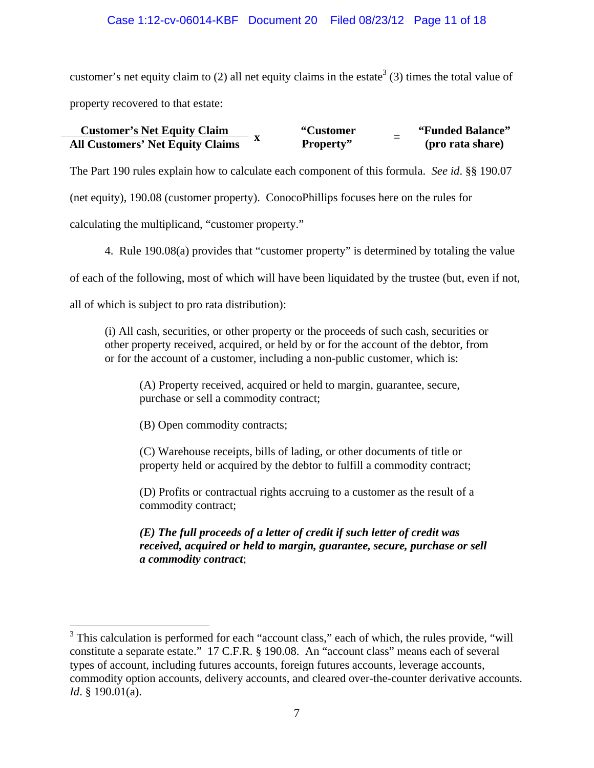# Case 1:12-cv-06014-KBF Document 20 Filed 08/23/12 Page 11 of 18

customer's net equity claim to (2) all net equity claims in the estate<sup>3</sup> (3) times the total value of property recovered to that estate:

#### **Customer's Net Equity Claim "Customer Property" <sup>=</sup> "Funded Balance" All Customers' Net Equity Claims**

The Part 190 rules explain how to calculate each component of this formula. *See id*. §§ 190.07 (net equity), 190.08 (customer property). ConocoPhillips focuses here on the rules for calculating the multiplicand, "customer property."

4. Rule 190.08(a) provides that "customer property" is determined by totaling the value

of each of the following, most of which will have been liquidated by the trustee (but, even if not,

all of which is subject to pro rata distribution):

1

(i) All cash, securities, or other property or the proceeds of such cash, securities or other property received, acquired, or held by or for the account of the debtor, from or for the account of a customer, including a non-public customer, which is:

(A) Property received, acquired or held to margin, guarantee, secure, purchase or sell a commodity contract;

(B) Open commodity contracts;

(C) Warehouse receipts, bills of lading, or other documents of title or property held or acquired by the debtor to fulfill a commodity contract;

(D) Profits or contractual rights accruing to a customer as the result of a commodity contract;

*(E) The full proceeds of a letter of credit if such letter of credit was received, acquired or held to margin, guarantee, secure, purchase or sell a commodity contract*;

<sup>&</sup>lt;sup>3</sup> This calculation is performed for each "account class," each of which, the rules provide, "will constitute a separate estate." 17 C.F.R. § 190.08. An "account class" means each of several types of account, including futures accounts, foreign futures accounts, leverage accounts, commodity option accounts, delivery accounts, and cleared over-the-counter derivative accounts. *Id*. § 190.01(a).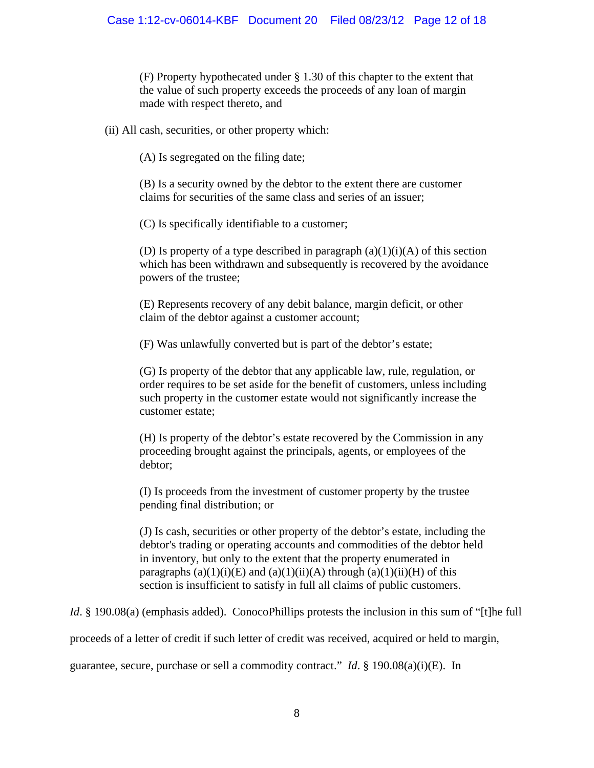(F) Property hypothecated under § 1.30 of this chapter to the extent that the value of such property exceeds the proceeds of any loan of margin made with respect thereto, and

(ii) All cash, securities, or other property which:

(A) Is segregated on the filing date;

(B) Is a security owned by the debtor to the extent there are customer claims for securities of the same class and series of an issuer;

(C) Is specifically identifiable to a customer;

(D) Is property of a type described in paragraph  $(a)(1)(i)(A)$  of this section which has been withdrawn and subsequently is recovered by the avoidance powers of the trustee;

(E) Represents recovery of any debit balance, margin deficit, or other claim of the debtor against a customer account;

(F) Was unlawfully converted but is part of the debtor's estate;

(G) Is property of the debtor that any applicable law, rule, regulation, or order requires to be set aside for the benefit of customers, unless including such property in the customer estate would not significantly increase the customer estate;

(H) Is property of the debtor's estate recovered by the Commission in any proceeding brought against the principals, agents, or employees of the debtor;

(I) Is proceeds from the investment of customer property by the trustee pending final distribution; or

(J) Is cash, securities or other property of the debtor's estate, including the debtor's trading or operating accounts and commodities of the debtor held in inventory, but only to the extent that the property enumerated in paragraphs  $(a)(1)(i)(E)$  and  $(a)(1)(ii)(A)$  through  $(a)(1)(ii)(H)$  of this section is insufficient to satisfy in full all claims of public customers.

*Id*. § 190.08(a) (emphasis added). ConocoPhillips protests the inclusion in this sum of "[t]he full

proceeds of a letter of credit if such letter of credit was received, acquired or held to margin,

guarantee, secure, purchase or sell a commodity contract." *Id*. § 190.08(a)(i)(E). In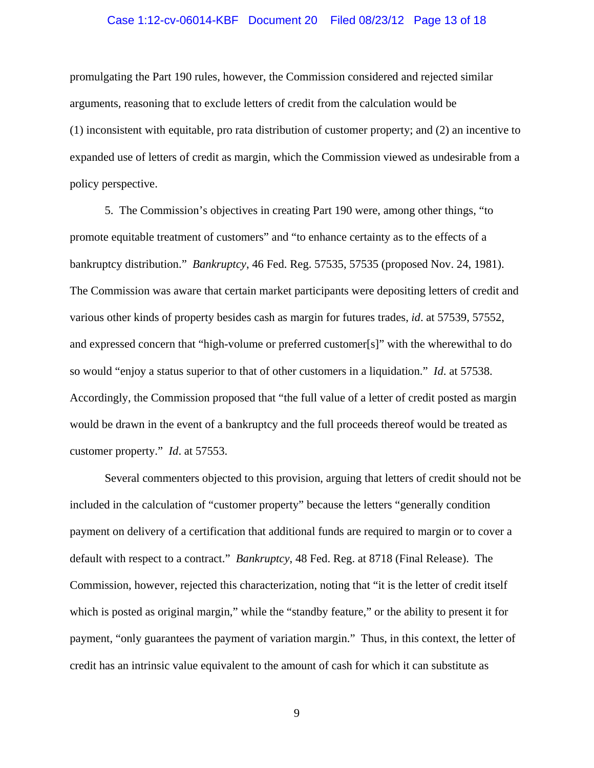#### Case 1:12-cv-06014-KBF Document 20 Filed 08/23/12 Page 13 of 18

promulgating the Part 190 rules, however, the Commission considered and rejected similar arguments, reasoning that to exclude letters of credit from the calculation would be (1) inconsistent with equitable, pro rata distribution of customer property; and (2) an incentive to expanded use of letters of credit as margin, which the Commission viewed as undesirable from a policy perspective.

5. The Commission's objectives in creating Part 190 were, among other things, "to promote equitable treatment of customers" and "to enhance certainty as to the effects of a bankruptcy distribution." *Bankruptcy*, 46 Fed. Reg. 57535, 57535 (proposed Nov. 24, 1981). The Commission was aware that certain market participants were depositing letters of credit and various other kinds of property besides cash as margin for futures trades, *id*. at 57539, 57552, and expressed concern that "high-volume or preferred customer[s]" with the wherewithal to do so would "enjoy a status superior to that of other customers in a liquidation." *Id*. at 57538. Accordingly, the Commission proposed that "the full value of a letter of credit posted as margin would be drawn in the event of a bankruptcy and the full proceeds thereof would be treated as customer property." *Id*. at 57553.

Several commenters objected to this provision, arguing that letters of credit should not be included in the calculation of "customer property" because the letters "generally condition payment on delivery of a certification that additional funds are required to margin or to cover a default with respect to a contract." *Bankruptcy*, 48 Fed. Reg. at 8718 (Final Release). The Commission, however, rejected this characterization, noting that "it is the letter of credit itself which is posted as original margin," while the "standby feature," or the ability to present it for payment, "only guarantees the payment of variation margin." Thus, in this context, the letter of credit has an intrinsic value equivalent to the amount of cash for which it can substitute as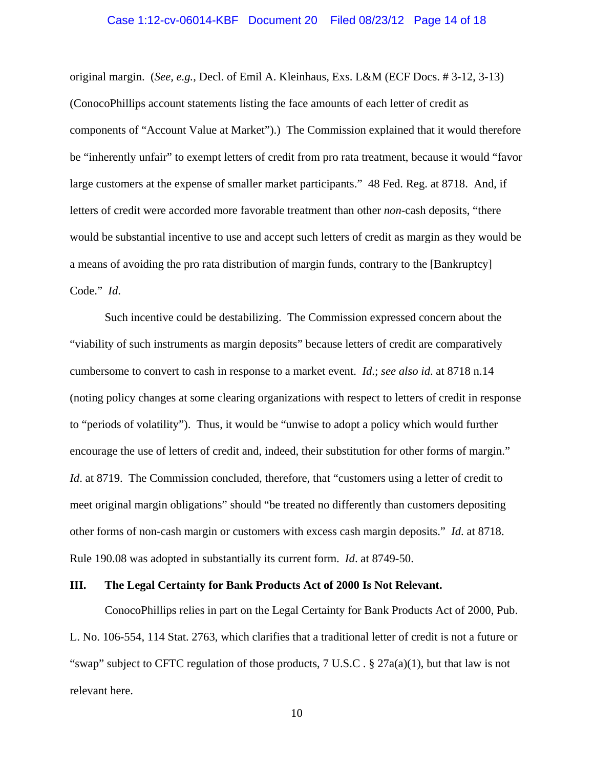#### Case 1:12-cv-06014-KBF Document 20 Filed 08/23/12 Page 14 of 18

original margin. (*See, e.g.*, Decl. of Emil A. Kleinhaus, Exs. L&M (ECF Docs. # 3-12, 3-13) (ConocoPhillips account statements listing the face amounts of each letter of credit as components of "Account Value at Market").) The Commission explained that it would therefore be "inherently unfair" to exempt letters of credit from pro rata treatment, because it would "favor large customers at the expense of smaller market participants." 48 Fed. Reg. at 8718. And, if letters of credit were accorded more favorable treatment than other *non*-cash deposits, "there would be substantial incentive to use and accept such letters of credit as margin as they would be a means of avoiding the pro rata distribution of margin funds, contrary to the [Bankruptcy] Code." *Id*.

Such incentive could be destabilizing. The Commission expressed concern about the "viability of such instruments as margin deposits" because letters of credit are comparatively cumbersome to convert to cash in response to a market event. *Id*.; *see also id*. at 8718 n.14 (noting policy changes at some clearing organizations with respect to letters of credit in response to "periods of volatility"). Thus, it would be "unwise to adopt a policy which would further encourage the use of letters of credit and, indeed, their substitution for other forms of margin." *Id.* at 8719. The Commission concluded, therefore, that "customers using a letter of credit to meet original margin obligations" should "be treated no differently than customers depositing other forms of non-cash margin or customers with excess cash margin deposits." *Id*. at 8718. Rule 190.08 was adopted in substantially its current form. *Id*. at 8749-50.

### **III. The Legal Certainty for Bank Products Act of 2000 Is Not Relevant.**

 ConocoPhillips relies in part on the Legal Certainty for Bank Products Act of 2000, Pub. L. No. 106-554, 114 Stat. 2763, which clarifies that a traditional letter of credit is not a future or "swap" subject to CFTC regulation of those products,  $7 \text{ U.S.C.}$  §  $27a(a)(1)$ , but that law is not relevant here.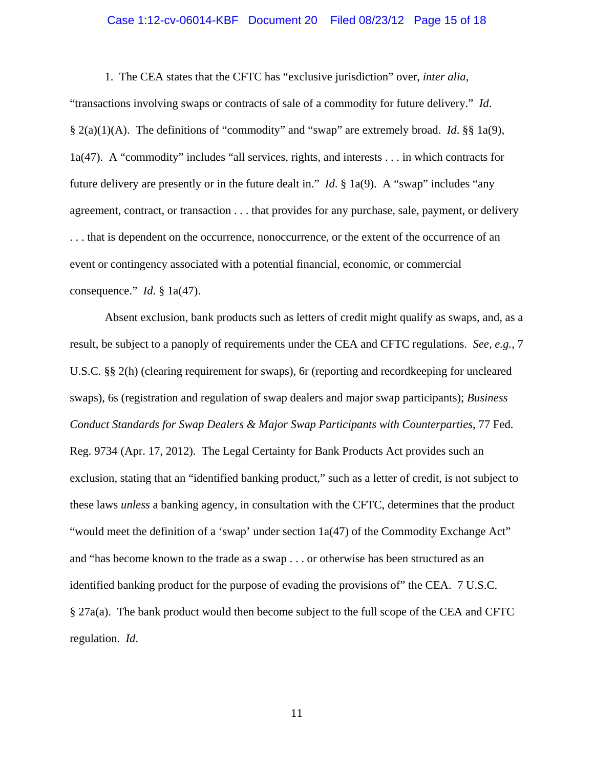# Case 1:12-cv-06014-KBF Document 20 Filed 08/23/12 Page 15 of 18

1. The CEA states that the CFTC has "exclusive jurisdiction" over, *inter alia*,

"transactions involving swaps or contracts of sale of a commodity for future delivery." *Id*. § 2(a)(1)(A). The definitions of "commodity" and "swap" are extremely broad. *Id*. §§ 1a(9), 1a(47). A "commodity" includes "all services, rights, and interests . . . in which contracts for future delivery are presently or in the future dealt in." *Id*. § 1a(9). A "swap" includes "any agreement, contract, or transaction . . . that provides for any purchase, sale, payment, or delivery . . . that is dependent on the occurrence, nonoccurrence, or the extent of the occurrence of an event or contingency associated with a potential financial, economic, or commercial consequence." *Id*. § 1a(47).

Absent exclusion, bank products such as letters of credit might qualify as swaps, and, as a result, be subject to a panoply of requirements under the CEA and CFTC regulations. *See, e.g.*, 7 U.S.C. §§ 2(h) (clearing requirement for swaps), 6r (reporting and recordkeeping for uncleared swaps), 6s (registration and regulation of swap dealers and major swap participants); *Business Conduct Standards for Swap Dealers & Major Swap Participants with Counterparties*, 77 Fed. Reg. 9734 (Apr. 17, 2012). The Legal Certainty for Bank Products Act provides such an exclusion, stating that an "identified banking product," such as a letter of credit, is not subject to these laws *unless* a banking agency, in consultation with the CFTC, determines that the product "would meet the definition of a 'swap' under section 1a(47) of the Commodity Exchange Act" and "has become known to the trade as a swap . . . or otherwise has been structured as an identified banking product for the purpose of evading the provisions of" the CEA. 7 U.S.C. § 27a(a). The bank product would then become subject to the full scope of the CEA and CFTC regulation. *Id*.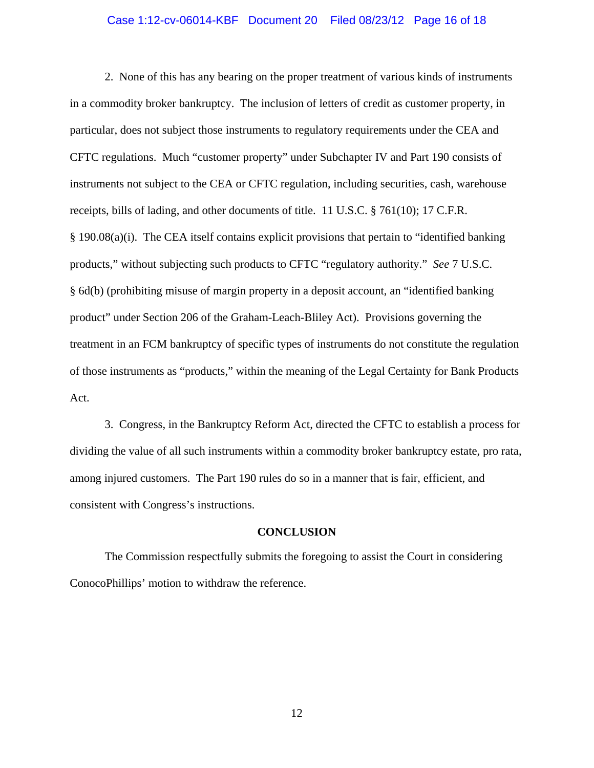#### Case 1:12-cv-06014-KBF Document 20 Filed 08/23/12 Page 16 of 18

 2. None of this has any bearing on the proper treatment of various kinds of instruments in a commodity broker bankruptcy. The inclusion of letters of credit as customer property, in particular, does not subject those instruments to regulatory requirements under the CEA and CFTC regulations. Much "customer property" under Subchapter IV and Part 190 consists of instruments not subject to the CEA or CFTC regulation, including securities, cash, warehouse receipts, bills of lading, and other documents of title. 11 U.S.C. § 761(10); 17 C.F.R. § 190.08(a)(i). The CEA itself contains explicit provisions that pertain to "identified banking products," without subjecting such products to CFTC "regulatory authority." *See* 7 U.S.C. § 6d(b) (prohibiting misuse of margin property in a deposit account, an "identified banking product" under Section 206 of the Graham-Leach-Bliley Act). Provisions governing the treatment in an FCM bankruptcy of specific types of instruments do not constitute the regulation of those instruments as "products," within the meaning of the Legal Certainty for Bank Products Act.

3. Congress, in the Bankruptcy Reform Act, directed the CFTC to establish a process for dividing the value of all such instruments within a commodity broker bankruptcy estate, pro rata, among injured customers. The Part 190 rules do so in a manner that is fair, efficient, and consistent with Congress's instructions.

#### **CONCLUSION**

 The Commission respectfully submits the foregoing to assist the Court in considering ConocoPhillips' motion to withdraw the reference.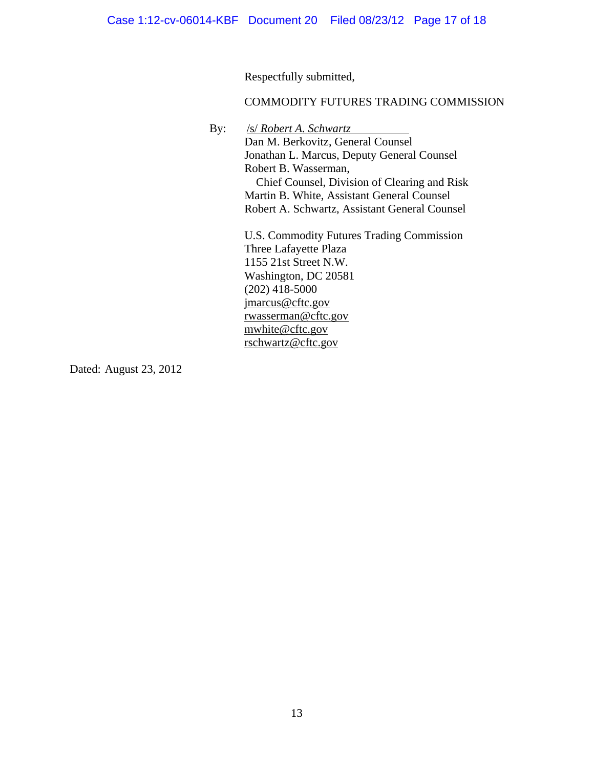Respectfully submitted,

## COMMODITY FUTURES TRADING COMMISSION

By: /s/ *Robert A. Schwartz*

Dan M. Berkovitz, General Counsel Jonathan L. Marcus, Deputy General Counsel Robert B. Wasserman, Chief Counsel, Division of Clearing and Risk Martin B. White, Assistant General Counsel Robert A. Schwartz, Assistant General Counsel

U.S. Commodity Futures Trading Commission Three Lafayette Plaza 1155 21st Street N.W. Washington, DC 20581  $(202)$  418-5000 jmarcus@cftc.gov rwasserman@cftc.gov mwhite@cftc.gov rschwartz@cftc.gov

Dated: August 23, 2012